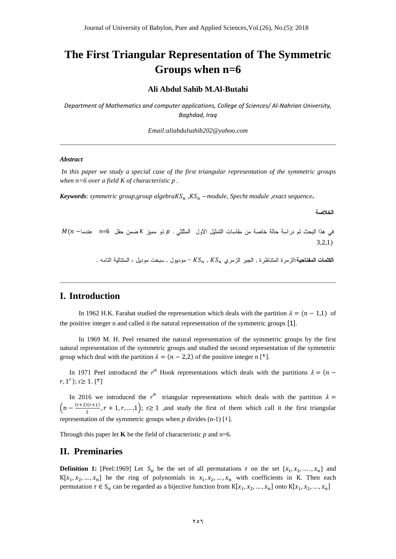# **The First Triangular Representation of The Symmetric Groups when n=6**

#### **Ali Abdul Sahib M.Al-Butahi**

*Department of Mathematics and computer applications, College of Sciences/ Al-Nahrian University, Baghdad, Iraq*

*Email:aliabdulsahib202@yahoo.com*

#### *Abstract*

*In this paper we study a special case of the first triangular representation of the symmetric groups when n=6 over a field K of characteristic p .*

*Keywords: symmetric group,group algebraKS<sub>n</sub>, KS<sub>n</sub> -module, Specht module, exact sequence.* 

الخلاصة

 $M(n-$ في هذا البحث تم دراسة حالة خاصة من مقاسات التمثيل الاول المثلثي . p ذو مميز K ضمن حقل n=6 عندما $m(n 3,2,1)$ 

. الكلمات المفتاحية:الزمر: المتناظر: , الجبر الزمري KS, , KS, - موديول , سبخت موديل ، المتتالية التامه

#### **I. Introduction**

In 1962 H.K. Farahat studied the representation which deals with the partition  $\lambda = (n - 1.1)$  of the positive integer n and called it the natural representation of the symmetric groups [1].

In 1969 M. H. Peel renamed the natural representation of the symmetric groups by the first natural representation of the symmetric groups and studied the second representation of the symmetric group which deal with the partition  $\lambda = (n - 2.2)$  of the positive integer n [<sup>x</sup>].

In 1971 Peel introduced the  $r^{th}$  Hook representations which deals with the partitions  $\lambda = (n \lambda)^2$  $(r, 1^r); r \geq 1$ . [ $\zeta$ ]

In 2016 we introduced the  $r<sup>th</sup>$  triangular representations which deals with the partition  $\left( n - \frac{(r+2)(r+1)}{2} \right)$  $\left(\frac{1}{2}, r+1, r, \ldots, 1\right);$   $r \ge 1$  , and study the first of them which call it the first triangular representation of the symmetric groups when  $p$  divides (n-1) [ $\mathfrak{t}$ ].

Through this paper let **K** be the field of characteristic  $p$  and n=6.

#### **II. Preminaries**

**Definition 1:** [Peel:1969] Let S<sub>n</sub> be the set of all permutations  $\tau$  on the set  $\{x_1, x_2, ..., x_n\}$  and  $K[x_1, x_2, ..., x_n]$  be the ring of polynomials in  $x_1, x_2, ..., x_n$  with coefficients in K. Then each permutation  $\tau \in S_n$  can be regarded as a bijective function from  $K[x_1, x_2, ..., x_n]$  onto  $K[x_1, x_2, ..., x_n]$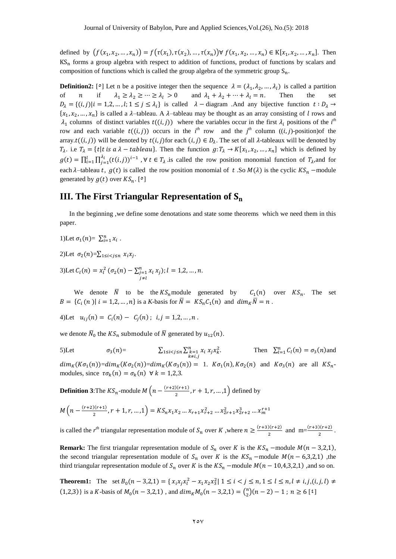defined by  $(f(x_1, x_2, ..., x_n)) = f(\tau(x_1), \tau(x_2), ..., \tau(x_n)) \forall f(x_1, x_2, ..., x_n) \in K[x_1, x_2, ..., x_n].$  Then  $KS_n$  forms a group algebra with respect to addition of functions, product of functions by scalars and composition of functions which is called the group algebra of the symmetric group  $S_n$ .

**Definition2:** [°] Let n be a positive integer then the sequence  $\lambda = (\lambda_1, \lambda_2, ..., \lambda_l)$  is called a partition of *n* if  $\lambda_1 \geq \lambda_2 \geq \cdots \geq \lambda_l > 0$  and  $\lambda_1 + \lambda_2 + \cdots + \lambda_l = n$ . Then the set  $D_{\lambda} = \{ (i, j) | i = 1, 2, ..., l; 1 \le j \le \lambda_i \}$  is called  $\lambda$  – diagram .And any bijective function  $\{x_1, x_2, ..., x_n\}$  is called a  $\lambda$ -tableau. A  $\lambda$ -tableau may be thought as an array consisting of l rows and  $\lambda_1$  columns of distinct variables  $t((i, j))$  where the variables occur in the first  $\lambda_i$  positions of the *i*<sup>th</sup> row and each variable  $t((i, j))$  occurs in the  $i<sup>th</sup>$  row and the  $j<sup>th</sup>$  column  $((i, j)$ -position)of the array.  $t((i, j))$  will be denoted by  $t(i, j)$  for each  $(i, j) \in D_{\lambda}$ . The set of all  $\lambda$ -tableaux will be denoted by  $T_{\lambda}$ . i.e  $T_{\lambda} = \{t | t \text{ is a } \lambda - \text{tableau}\}\$ . Then the function  $g: T_{\lambda} \to K[x_1, x_2, ..., x_n]$  which is defined by  $g(t) = \prod_{i=1}^{l} \prod_{i=1}^{\lambda_i} (t(i,j))$  $\prod_{i=1}^l \prod_{j=1}^{A_i} (t(i,j))^{i-1}$ ,  $\forall t \in T_\lambda$  is called the row position monomial function of  $T_\lambda$ , and for each  $\lambda$ -tableau t,  $g(t)$  is called the row position monomial of t. So  $M(\lambda)$  is the cyclic  $KS_n$  -module generated by  $g(t)$  over  $KS_n$ . [°]

# **III. The First Triangular Representation of**

In the beginning ,we define some denotations and state some theorems which we need them in this paper.

1)Let 
$$
\sigma_1(n) = \sum_{i=1}^n x_i
$$
.

2)Let  $\sigma_2(n) = \sum_{1 \le i < j \le n} x_i x_j$ .

3)Let  $C_l(n) = x_l^2 (\sigma_2(n) - \sum_{j=1}^n x_j)$ j  $; l = 1, 2, ..., n.$ 

We denote  $\overline{N}$  to be the  $KS_n$  module generated by  $C_1(n)$  over  $KS_n$ . The set  $B = \{ C_i(n) | i = 1, 2, ..., n \}$  is a *K*-basis for  $\overline{N} = K S_n C_1(n)$  and  $dim_K \overline{N} = n$ .

4)Let  $u_{ii}(n) = C_i(n) - C_i(n)$ ;

we denote  $\bar{N}_0$  the  $KS_n$  submodule of  $\bar{N}$  generated by  $u_{12}(n)$ .

5)Let  $\sigma_3(n) = \sum_{\substack{1 \le i < j \le n \\ k \ne i,j}} \sum_{k=1}^n x_i x_j x_k^2$ . Then  $\sum_{l=1}^n C_l(n) = \sigma_3(n)$  and  $dim_K(K\sigma_1(n))= dim_K(K\sigma_2(n))= dim_K(K\sigma_3(n)) = 1$ .  $K\sigma_1(n), K\sigma_2(n)$  and  $K\sigma_3(n)$  are all  $KS_n$ . modules, since  $\tau \sigma_k(n) = \sigma_k(n)$   $\forall$ 

**Definition 3**: The  $KS_n$ -module  $M(n - \frac{(r+2)(r+1)}{2})$  $\frac{f(r+1)}{2}$ ,  $r + 1$ ,  $r$ , ..., 1) defined by

$$
M\left(n - \frac{(r+2)(r+1)}{2}, r+1, r, \dots, 1\right) = KS_n x_1 x_2 \dots x_{r+1} x_{r+2}^2 \dots x_{2r+1}^2 x_{2r+2}^3 \dots x_m^{r+1}
$$

is called the *r*<sup>th</sup> triangular representation module of  $S_n$  over K, where  $n \geq \frac{(r+3)(r+2)}{2}$  $\frac{f(r+2)}{2}$  and m= $\frac{(r+3)(r+2)}{2}$ .

**Remark:** The first triangular representation module of  $S_n$  over K is the  $KS_n$  –module  $M(n-3,2,1)$ , the second triangular representation module of  $S_n$  over K is the  $KS_n$  -module  $M(n-6,3,2,1)$ , the third triangular representation module of  $S_n$  over K is the  $KS_n$  –module  $M(n - 10, 4, 3, 2, 1)$ , and so on.

**Theorem1:** The set  $B_0(n-3,2,1) = \{x_i x_i x_i^2 - x_1 x_2 x_3^2 | 1 \le i \le j \le n, 1 \le l \le n, l \ne i, j, (i, j, l) \ne j \}$  $(1,2,3)$  is a K-basis of  $M_0(n-3,2,1)$ , and  $dim_K M_0(n-3,2,1) = {n \choose 2}$  $\binom{n}{2}(n-2)-1$ ;  $n \ge 6$  [<sup>2</sup>]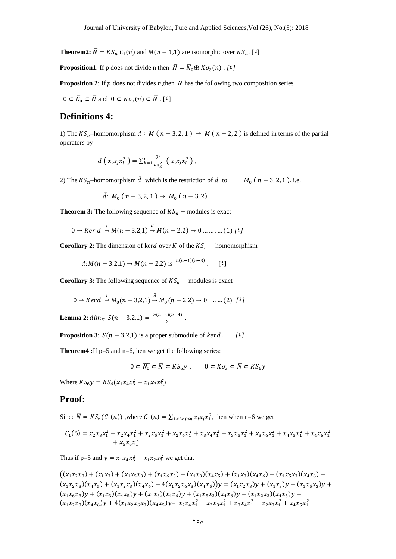**Theorem2:**  $\overline{N} = KS_n C_1(n)$  and  $M(n-1,1)$  are isomorphic over  $KS_n$ . [4]

**Proposition1**: If p does not divide n then  $\overline{N} = \overline{N}_0 \oplus K \sigma_3(n)$ . [4]

**Proposition 2:** If p does not divides n, then  $\overline{N}$  has the following two composition series

 $0 \subset \overline{N}_0 \subset \overline{N}$  and  $0 \subset K\sigma_3(n) \subset \overline{N}$ . [<sup>2</sup>]

### **Definitions 4:**

1) The  $KS_n$ -homomorphism  $d : M (n-3,2,1) \rightarrow M (n-2,2)$  is defined in terms of the partial operators by

$$
d\left(x_i x_j x_l^2\right) = \sum_{k=1}^n \frac{\partial^2}{\partial x_k^2} \left(x_i x_j x_l^2\right),
$$

2) The  $KS_n$ -homomorphism  $\bar{d}$  which is the restriction of d to  $M_0$  ( $n-3, 2, 1$ ). i.e.

$$
\bar{d}
$$
:  $M_0$  ( $n-3,2,1$  ).  $\rightarrow M_0$  ( $n-3,2$ ).

**Theorem 3:** The following sequence of  $KS_n$  – modules is exact

$$
0 \to Ker\,d \stackrel{i}{\to} M(n-3,2,1) \stackrel{d}{\to} M(n-2,2) \to 0 \dots \dots \dots (1) \,1^{\xi}
$$

**Corollary 2**: The dimension of kerd over K of the  $KS_n$  – homomorphism

$$
d: M(n-3.2.1) \to M(n-2.2) \text{ is } \frac{n(n-1)(n-3)}{2}. \qquad [1]
$$

**Corollary 3**: The following sequence of  $KS_n$  – modules is exact

$$
0 \to Ker d \xrightarrow{i} M_0(n-3,2,1) \xrightarrow{\bar{d}} M_0(n-2,2) \to 0 \dots (2) \quad [i]
$$

**Lemma 2**:  $dim_K S(n-3,2,1) = \frac{n(n-2)(n-4)}{2}$  $rac{2(n-4)}{3}$ .

**Proposition 3**:  $S(n-3,2,1)$  is a proper submodule of *kerd*. [<sup>2</sup>]

**Theorem4 :**If p=5 and n=6,then we get the following series:

$$
0 \subset \overline{N_0} \subset \overline{N} \subset KS_6y \ , \qquad 0 \subset K\sigma_3 \subset \overline{N} \subset KS_6y
$$

Where  $KS_6y = KS_6(x_1x_4x_3^2 - x_1x_2x_3^2)$ 

#### **Proof:**

Since  $\overline{N} = KS_n(C_1(n))$ , where  $C_1(n) = \sum_{1 \le i \le j \le n} x_i x_j x_1^2$ , then when n=6 we get

$$
C_1(6) = x_2 x_3 x_1^2 + x_2 x_4 x_1^2 + x_2 x_5 x_1^2 + x_2 x_6 x_1^2 + x_3 x_4 x_1^2 + x_3 x_5 x_1^2 + x_3 x_6 x_1^2 + x_4 x_5 x_1^2 + x_4 x_6 x_1^2
$$

Thus if p=5 and  $y = x_1 x_4 x_3^2 + x_1 x_2 x_3^2$  we get that

$$
((x_1x_2x_3) + (x_1x_3) + (x_1x_5x_3) + (x_1x_6x_3) + (x_1x_3)(x_4x_5) + (x_1x_3)(x_4x_6) + (x_1x_5x_3)(x_4x_6) -(x_1x_2x_3)(x_4x_5) + (x_1x_2x_3)(x_4x_6) + 4(x_1x_2x_6x_3)(x_4x_5) = (x_1x_2x_3)y + (x_1x_3)y + (x_1x_5x_3)y +(x_1x_6x_3)y + (x_1x_3)(x_4x_5)y + (x_1x_3)(x_4x_6)y + (x_1x_5x_3)(x_4x_6)y - (x_1x_2x_3)(x_4x_5)y +(x_1x_2x_3)(x_4x_6)y + 4(x_1x_2x_6x_3)(x_4x_5)y = x_2x_4x_1^2 - x_2x_3x_1^2 + x_3x_4x_1^2 - x_2x_3x_1^2 + x_4x_5x_1^2 -
$$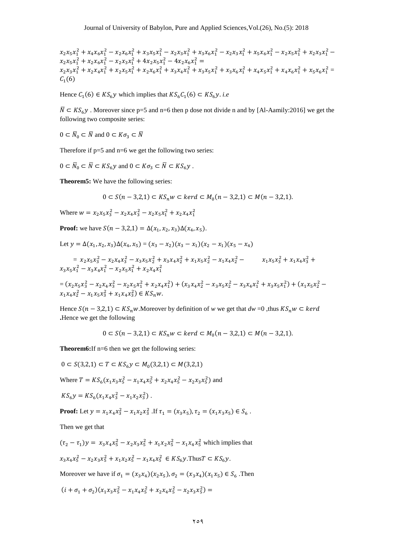$x_2x_5x_1^2 + x_4x_6x_1^2 - x_2x_6x_1^2 + x_3x_5x_1^2 - x_2x_3x_1^2 + x_3x_6x_1^2 - x_2x_3x_1^2 + x_5x_6x_1^2 - x_2x_5x_1^2 + x_2x_3x_1^2$  $x_2x_5x_1^2 + x_2x_6x_1^2 - x_2x_3x_1^2 + 4x_2x_5x_1^2 - 4x_2x_6x_1^2$  $x_2x_3x_1^2 + x_2x_4x_1^2 + x_2x_5x_1^2 + x_2x_6x_1^2 + x_3x_4x_1^2 + x_3x_5x_1^2 + x_3x_6x_1^2 + x_4x_5x_1^2 + x_4x_6x_1^2 + x_5x_6x_1^2 =$  $C_1(6)$ 

Hence  $C_1(6) \in KS_6y$  which implies that  $KS_6C_1(6) \subset KS_6y$ . *i.e* 

 $\overline{N} \subset KS_6y$ . Moreover since p=5 and n=6 then p dose not divide n and by [Al-Aamily:2016] we get the following two composite series:

 $0 \subset \overline{N}_0 \subset \overline{N}$  and  $0 \subset K\sigma_3 \subset \overline{N}$ 

Therefore if  $p=5$  and  $n=6$  we get the following two series:

$$
0 \subset \overline{N}_0 \subset \overline{N} \subset KS_6y \text{ and } 0 \subset K\sigma_3 \subset \overline{N} \subset KS_6y .
$$

**Theorem5:** We have the following series:

$$
0 \subset S(n-3,2,1) \subset KS_n w \subset \text{ker}d \subset M_0(n-3,2,1) \subset M(n-3,2,1).
$$

Where  $w = x_2 x_5 x_3^2 - x_2 x_4 x_3^2 - x_2 x_5 x_1^2 + x_2 x_4 x_1^2$ 

**Proof:** we have  $S(n-3,2,1) = \Delta(x_1, x_2, x_3) \Delta(x_4, x_5)$ .

Let 
$$
y = \Delta(x_1, x_2, x_3) \Delta(x_4, x_5) = (x_3 - x_2)(x_3 - x_1)(x_2 - x_1)(x_5 - x_4)
$$

$$
= x_2 x_5 x_3^2 - x_2 x_4 x_3^2 - x_3 x_5 x_2^2 + x_3 x_4 x_2^2 + x_1 x_5 x_2^2 - x_1 x_4 x_2^2 - x_1 x_5 x_3^2 + x_1 x_4 x_3^2 + x_3 x_5 x_1^2 - x_3 x_4 x_1^2 - x_2 x_5 x_1^2 + x_2 x_4 x_1^2
$$

$$
= (x_2 x_5 x_3^2 - x_2 x_4 x_3^2 - x_2 x_5 x_1^2 + x_2 x_4 x_1^2) + (x_3 x_4 x_2^2 - x_3 x_5 x_2^2 - x_3 x_4 x_1^2 + x_3 x_5 x_1^2) + (x_1 x_5 x_2^2 - x_1 x_4 x_2^2 - x_1 x_5 x_3^2 + x_1 x_4 x_3^2) \in K S_n w.
$$

Hence  $S(n-3,2,1) \subset KS_nw$ . Moreover by definition of *w* we get that  $dw = 0$ , thus  $KS_nw \subset \text{ker } d$ **.**Hence we get the following

 $0 \subset S(n-3,2,1) \subset KS_n w \subset ker d \subset M_0(n-3,2,1) \subset M(n-3,2,1).$ 

**Theorem6:**If n=6 then we get the following series:

$$
0 \subset S(3,2,1) \subset T \subset KS_6y \subset M_0(3,2,1) \subset M(3,2,1)
$$
  
Where  $T = KS_6(x_1x_3x_5^2 - x_1x_4x_5^2 + x_2x_4x_5^2 - x_2x_3x_5^2)$  and  

$$
KS_6y = KS_6(x_1x_4x_3^2 - x_1x_2x_3^2).
$$

**Proof:** Let 
$$
y = x_1 x_4 x_3^2 - x_1 x_2 x_3^2
$$
. If  $\tau_1 = (x_3 x_5), \tau_2 = (x_1 x_3 x_5) \in S_6$ .

Then we get that

$$
(\tau_2 - \tau_1)y = x_3x_4x_5^2 - x_2x_3x_5^2 + x_1x_2x_5^2 - x_1x_4x_5^2
$$
 which implies that  

$$
x_3x_4x_5^2 - x_2x_3x_5^2 + x_1x_2x_5^2 - x_1x_4x_5^2 \in KS_6y
$$
. Thus  $T \subset KS_6y$ .

Moreover we have if  $\sigma_1 = (x_3 x_4)(x_2 x_5)$ ,  $\sigma_2 = (x_3 x_4)(x_1 x_5) \in S_6$ . Then

$$
(i + \sigma_1 + \sigma_2)(x_1x_3x_5^2 - x_1x_4x_5^2 + x_2x_4x_5^2 - x_2x_3x_5^2) =
$$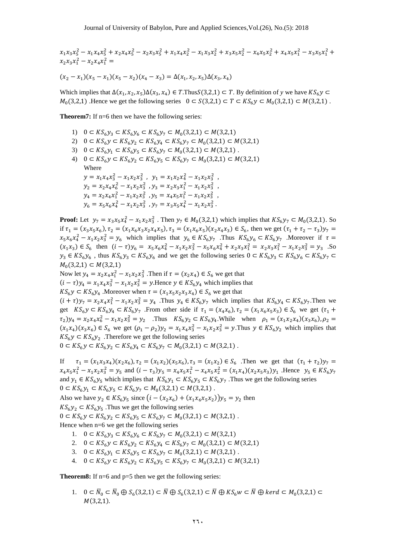$$
x_1x_3x_5^2 - x_1x_4x_5^2 + x_2x_4x_5^2 - x_2x_3x_5^2 + x_1x_4x_2^2 - x_1x_3x_2^2 + x_3x_5x_2^2 - x_4x_5x_2^2 + x_4x_5x_1^2 - x_3x_5x_1^2 + x_2x_3x_1^2 - x_2x_4x_1^2 =
$$

$$
(x_2 - x_1)(x_5 - x_1)(x_5 - x_2)(x_4 - x_3) = \Delta(x_1, x_2, x_5)\Delta(x_3, x_4)
$$

Which implies that  $\Delta(x_1, x_2, x_5) \Delta(x_3, x_4) \in T$ . Thus  $S(3,2,1) \subset T$ . By definition of y we have  $M_0$ (3,2,1) .Hence we get the following series  $0 \subset S(3,2,1) \subset T \subset KS_6y \subset M_0(3,2,1) \subset M(3,2,1)$ .

**Theorem7:** If n=6 then we have the following series:

- 1)  $0 \subset KS_6y_3 \subset KS_6y_6 \subset KS_6y_7 \subset M_0(3,2,1) \subset M(3,2,1)$
- 2)  $0 \subset KS_6y \subset KS_6y_2 \subset KS_6y_4 \subset KS_6y_7 \subset M_0(3,2,1) \subset M(3,2,1)$
- 3)  $0 \subset KS_6y_1 \subset KS_6y_5 \subset KS_6y_7 \subset M_0(3,2,1) \subset M(3,2,1)$ .
- 4)  $0 \subset KS_6y \subset KS_6y_2 \subset KS_6y_5 \subset KS_6y_7 \subset M_0(3,2,1) \subset M(3,2,1)$ Where  $y = x_1 x_4 x_3^2 - x_1 x_2 x_3^2$ ,  $y_1 = x_1 x_2 x_4^2 - x_1 x_2 x_3^2$ ,  $y_2 = x_2 x_4 x_6^2 - x_1 x_2 x_3^2$ ,  $y_3 = x_2 x_3 x_1^2 - x_1 x_2 x_3^2$ ,  $y_4 = x_2 x_4 x_1^2 - x_1 x_2 x_3^2$ ,  $y_5 = x_4 x_5 x_1^2 - x_1 x_2 x_3^2$ ,  $y_6 = x_5x_6x_4^2 - x_1x_2x_3^2$ ,  $y_7 = x_3x_5x_4^2 - x_1x_2x_3^2$ .

**Proof:** Let  $y_7 = x_3 x_5 x_4^2 - x_1 x_2 x_3^2$ . Then  $y_7 \in M_0(3,2,1)$  which implies that  $KS_6y_7 \subset M_0(3,2,1)$ . So if  $\tau_1 = (x_3x_5x_6)$ ,  $\tau_2 = (x_1x_6x_3x_2x_4x_5)$ ,  $\tau_3 = (x_1x_6x_5)(x_2x_4x_3) \in S_6$ , then we get  $(\tau_1 + \tau_2 - \tau_3)y$  $x_5x_6x_4^2 - x_1x_2x_3^2 = y_6$  which implies that  $y_6 \in KS_6y_7$ . Thus  $KS_6y_6 \subset KS_6y_7$ . Moreover if  $(x_1x_3) \in S_6$  then  $(i - \tau)y_6 = x_5x_6x_4^2 - x_1x_2x_3^2 - x_5x_6x_4^2 + x_2x_3x_1^2 = x_2x_3x_1^2 - x_1x_2x_3^2 = y_3$ . So  $y_3 \in KS_6y_6$ , thus  $KS_6y_3 \subset KS_6y_6$  and we get the following series  $M_0(3,2,1) \subset M(3,2,1)$ 

Now let  $y_4 = x_2 x_4 x_1^2 - x_1 x_2 x_3^2$ . Then if  $\tau = (x_2 x_4) \in S_6$  we get that  $(i - \tau)y_4 = x_1x_4x_3^2 - x_1x_2x_3^2 = y$ . Hence  $y \in KS_6y_4$  which implies that  $KS_6y \subset KS_6y_4$ . Moreover when  $\tau = (x_1x_5x_2x_3x_4) \in S_6$  we get that  $(i + \tau)y_7 = x_2x_4x_1^2 - x_1x_2x_3^2 = y_4$ . Thus  $y_4 \in KS_6y_7$  which implies that  $KS_6y_4 \subset KS_6y_7$ . Then we get  $KS_6y \subset KS_6y_4 \subset KS_6y_7$ . From other side if  $\tau_1 = (x_4x_6)$ ,  $\tau_2 = (x_1x_6x_5x_3) \in S_6$  we get (*t*  $(\tau_2)y_4 = x_2x_4x_6^2 - x_1x_2x_3^2 = y_2$  Thus  $KS_6y_2 \subset KS_6y_4$ . While when  $\rho_1 = (x_1x_2x_4)(x_3x_6)$ ,

 $(x_1x_4)(x_3x_6) \in S_6$  we get  $(\rho_1 - \rho_2)y_2 = x_1x_4x_3^2 - x_1x_2x_3^2 = y$ . Thus  $y \in KS_6y_2$  which implies that  $KS_6y \subset KS_6y_2$ . Therefore we get the following series

$$
0 \subset KS_6y \subset KS_6y_2 \subset KS_6y_4 \subset KS_6y_7 \subset M_0(3,2,1) \subset M(3,2,1) \; .
$$

If  $\tau_1 = (x_1 x_3 x_4)(x_2 x_6), \tau_2 = (x_1 x_2)(x_5 x_6), \tau_3 = (x_1 x_2) \in S_6$ . Then we get that  $(\tau_1 + \tau_2)y$  $x_4x_5x_1^2 - x_1x_2x_3^2 = y_5$  and  $(i - \tau_3)y_5 = x_4x_5x_1^2 - x_4x_5x_2^2 = (x_1x_4)(x_2x_5x_3)y_1$ . Hence and  $y_1 \in KS_6y_5$  which implies that  $KS_6y_1 \subset KS_6y_5 \subset KS_6y_7$ . Thus we get the following series  $0 \subset KS_6y_1 \subset KS_6y_5 \subset KS_6y_7 \subset M_0(3,2,1) \subset M(3,2,1)$ .

Also we have  $y_2 \in KS_6y_5$  since  $(i - (x_2x_6) + (x_1x_6x_5x_2))y_5 = y_2$  then

 $KS_6y_2 \subset KS_6y_5$ . Thus we get the following series

 $0 \subset KS_6y \subset KS_6y_2 \subset KS_6y_5 \subset KS_6y_7 \subset M_0(3,2,1) \subset M(3,2,1)$ .

Hence when n=6 we get the following series

- 1.  $0 \subset KS_6y_3 \subset KS_6y_6 \subset KS_6y_7 \subset M_0(3,2,1) \subset M(3,2,1)$
- 2.  $0 \subset KS_6y \subset KS_6y_2 \subset KS_6y_4 \subset KS_6y_7 \subset M_0(3,2,1) \subset M(3,2,1)$
- 3.  $0 \subset KS_6y_1 \subset KS_6y_5 \subset KS_6y_7 \subset M_0(3,2,1) \subset M(3,2,1)$ .
- 4.  $0 \subset KS_6y \subset KS_6y_2 \subset KS_6y_5 \subset KS_6y_7 \subset M_0(3,2,1) \subset M(3,2,1)$

**Theorem8:** If n=6 and p=5 then we get the following series:

1.  $0 \subset \overline{N}_0 \subset \overline{N}_0 \oplus S_6(3,2,1) \subset \overline{N} \oplus S_6(3,2,1) \subset \overline{N} \oplus KS_6w \subset \overline{N} \oplus kerd \subset M_0(3,2,1) \subset$  $M(3,2,1)$ .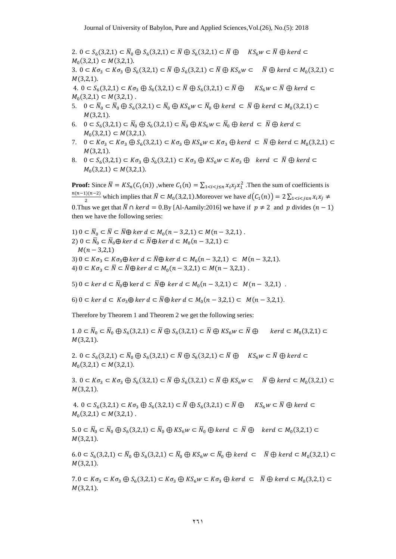2.  $0 \subset S_6(3,2,1) \subset \overline{N}_0 \oplus S_6(3,2,1) \subset \overline{N} \oplus S_6(3,2,1) \subset \overline{N} \oplus K S_6 w \subset \overline{N} \oplus$  $M_0(3,2,1) \subset M(3,2,1).$ 

3.  $0 \subset K\sigma_3 \subset K\sigma_3 \oplus S_6(3,2,1) \subset \overline{N} \oplus S_6(3,2,1) \subset \overline{N} \oplus KS_6w \subset \overline{N} \oplus kerd \subset M_0(3,2,1) \subset$  $M(3,2,1)$ .

4.  $0 \subset S_6(3,2,1) \subset K\sigma_3 \oplus S_6(3,2,1) \subset \overline{N} \oplus S_6(3,2,1) \subset \overline{N} \oplus K S_6 w \subset \overline{N} \oplus$  $M_0(3,2,1) \subset M(3,2,1)$ .

- 5.  $0 \subset \overline{N}_0 \subset \overline{N}_0 \oplus S_6(3,2,1) \subset \overline{N}_0 \oplus KS_6w \subset \overline{N}_0 \oplus kerd \subset \overline{N} \oplus kerd \subset M_0(3,2,1) \subset$  $M(3,2,1)$ .
- 6.  $0 \subset S_6(3,2,1) \subset \overline{N}_0 \oplus S_6(3,2,1) \subset \overline{N}_0 \oplus KS_6w \subset \overline{N}_0 \oplus kerd \subset \overline{N} \oplus$  $M_0(3,2,1) \subset M(3,2,1).$
- 7.  $0 \subset K\sigma_3 \subset K\sigma_3 \oplus S_6(3,2,1) \subset K\sigma_3 \oplus KS_6w \subset K\sigma_3 \oplus kerd \subset \overline{N} \oplus kerd \subset M_0(3,2,1) \subset$  $M(3,2,1)$ .
- 8.  $0 \subset S_6(3,2,1) \subset K\sigma_3 \oplus S_6(3,2,1) \subset K\sigma_3 \oplus KS_6w \subset K\sigma_3 \oplus \text{ker }d \subset \overline{N} \oplus$  $M_0(3,2,1) \subset M(3,2,1).$

**Proof:** Since  $\overline{N} = KS_n(C_1(n))$ , where  $C_1(n) = \sum_{1 \le i \le j \le n} x_i x_j x_i^2$ . Then the sum of coefficients is  $n(n-1)(n-2)$  $\frac{L(1)(n-2)}{2}$  which implies that  $\overline{N} \subset M_0(3,2,1)$ . Moreover we have  $d(C_1(n)) = 2\sum_{1}$ 0. Thus we get that  $\overline{N} \cap \text{ker } d = 0.$  By [Al-Aamily:2016] we have if  $p \neq 2$  and p divides  $(n - 1)$ then we have the following series:

1)  $0 \subset \overline{N}_0 \subset \overline{N} \subset \overline{N} \oplus \ker d \subset M_0(n-3,2,1) \subset M(n-3,2,1)$ . 2)  $0 \subset \overline{N}_0 \subset \overline{N}_0 \oplus \ker d \subset \overline{N} \oplus \ker d \subset M_0(n-3,2,1) \subset$  $M(n - 3,2,1)$ 3)  $0 \subset K\sigma_3 \subset K\sigma_3 \oplus \ker d \subset \overline{N} \oplus \ker d \subset M_0(n-3,2,1) \subset M(n-3,2,1).$ 4)  $0 \subset K\sigma_3 \subset \overline{N} \subset \overline{N} \oplus \ker d \subset M_0(n-3,2,1) \subset M(n-3,2,1)$ .

5)  $0 \subset \ker d \subset \overline{N}_0 \oplus \ker d \subset \overline{N} \oplus \ker d \subset M_0(n-3,2,1) \subset M(n-3,2,1)$ .

6)  $0 \subset \text{ker } d \subset K\sigma_3 \oplus \text{ker } d \subset \overline{N} \oplus \text{ker } d \subset M_0(n-3,2,1) \subset M(n-3,2,1).$ 

Therefore by Theorem 1 and Theorem 2 we get the following series:

 $1.0 \subset \overline{N}_0 \subset \overline{N}_0 \oplus S_6(3,2,1) \subset \overline{N} \oplus S_6(3,2,1) \subset \overline{N} \oplus KS_6w \subset \overline{N} \oplus \text{~ker}d \subset M_0(3,2,1) \subset$  $M(3,2,1)$ .

2.  $0 \subset S_6(3,2,1) \subset \overline{N}_0 \oplus S_6(3,2,1) \subset \overline{N} \oplus S_6(3,2,1) \subset \overline{N} \oplus K S_6 w \subset \overline{N} \oplus$  $M_0(3,2,1) \subset M(3,2,1).$ 

3.  $0 \subset K\sigma_3 \subset K\sigma_3 \oplus S_6(3,2,1) \subset \overline{N} \oplus S_6(3,2,1) \subset \overline{N} \oplus KS_6w \subset \overline{N} \oplus kerd \subset M_0(3,2,1) \subset$  $M(3,2,1)$ .

4.  $0 \subset S_6(3,2,1) \subset K\sigma_3 \oplus S_6(3,2,1) \subset \overline{N} \oplus S_6(3,2,1) \subset \overline{N} \oplus K S_6 w \subset \overline{N} \oplus$  $M_0(3,2,1) \subset M(3,2,1)$ .

 $5.0 \subset \overline{N}_0 \subset \overline{N}_0 \oplus S_6(3,2,1) \subset \overline{N}_0 \oplus KS_6w \subset \overline{N}_0 \oplus kerd \subset \overline{N} \oplus kerd \subset M_0(3,2,1) \subset$  $M(3,2,1)$ .

 $(6.0 \subset S_6(3,2,1) \subset \overline{N}_0 \oplus S_6(3,2,1) \subset \overline{N}_0 \oplus KS_6w \subset \overline{N}_0 \oplus kerd \subset \overline{N} \oplus kerd \subset M_0(3,2,1) \subset$  $M(3,2,1)$ .

 $7.0 \subset K\sigma_3 \subset K\sigma_3 \oplus S_6(3,2,1) \subset K\sigma_3 \oplus KS_6w \subset K\sigma_3 \oplus kerd \subset \overline{N} \oplus kerd \subset M_0(3,2,1) \subset$  $M(3,2,1)$ .